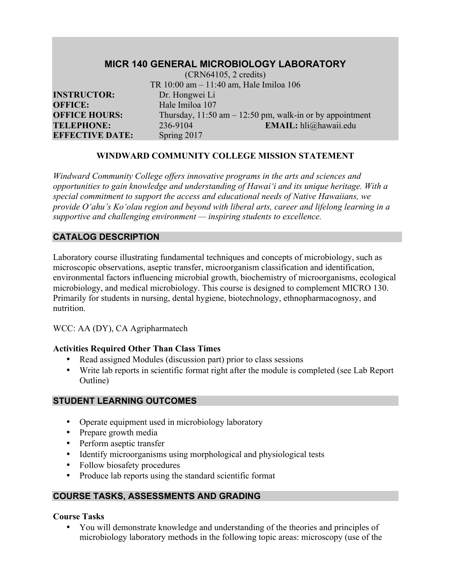| <b>MICR 140 GENERAL MICROBIOLOGY LABORATORY</b><br>$(CRN64105, 2 \text{ credits})$ |                 |                                                             |  |  |  |
|------------------------------------------------------------------------------------|-----------------|-------------------------------------------------------------|--|--|--|
|                                                                                    |                 | TR 10:00 am - 11:40 am, Hale Imiloa 106                     |  |  |  |
| <b>INSTRUCTOR:</b>                                                                 | Dr. Hongwei Li  |                                                             |  |  |  |
| <b>OFFICE:</b>                                                                     | Hale Imiloa 107 |                                                             |  |  |  |
| <b>OFFICE HOURS:</b>                                                               |                 | Thursday, $11:50$ am $-12:50$ pm, walk-in or by appointment |  |  |  |
| <b>TELEPHONE:</b>                                                                  | 236-9104        | EMAIL: hli@hawaii.edu                                       |  |  |  |
| <b>EFFECTIVE DATE:</b>                                                             | Spring 2017     |                                                             |  |  |  |

#### **WINDWARD COMMUNITY COLLEGE MISSION STATEMENT**

*Windward Community College offers innovative programs in the arts and sciences and opportunities to gain knowledge and understanding of Hawai'i and its unique heritage. With a special commitment to support the access and educational needs of Native Hawaiians, we provide O'ahu's Ko'olau region and beyond with liberal arts, career and lifelong learning in a supportive and challenging environment — inspiring students to excellence.*

### **CATALOG DESCRIPTION**

Laboratory course illustrating fundamental techniques and concepts of microbiology, such as microscopic observations, aseptic transfer, microorganism classification and identification, environmental factors influencing microbial growth, biochemistry of microorganisms, ecological microbiology, and medical microbiology. This course is designed to complement MICRO 130. Primarily for students in nursing, dental hygiene, biotechnology, ethnopharmacognosy, and nutrition.

WCC: AA (DY), CA Agripharmatech

#### **Activities Required Other Than Class Times**

- Read assigned Modules (discussion part) prior to class sessions
- Write lab reports in scientific format right after the module is completed (see Lab Report Outline)

#### **STUDENT LEARNING OUTCOMES**

- Operate equipment used in microbiology laboratory
- Prepare growth media
- Perform aseptic transfer
- Identify microorganisms using morphological and physiological tests
- Follow biosafety procedures
- Produce lab reports using the standard scientific format

## **COURSE TASKS, ASSESSMENTS AND GRADING**

#### **Course Tasks**

• You will demonstrate knowledge and understanding of the theories and principles of microbiology laboratory methods in the following topic areas: microscopy (use of the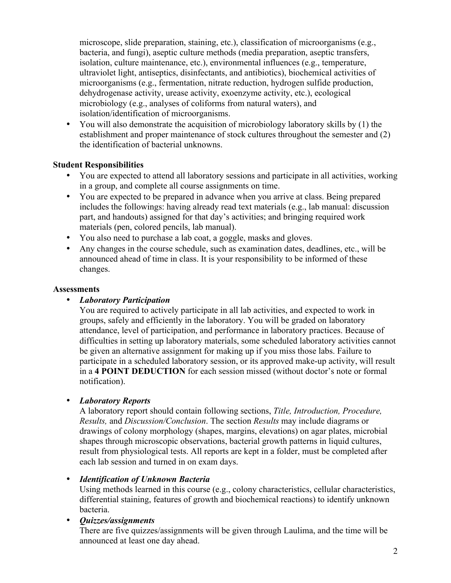microscope, slide preparation, staining, etc.), classification of microorganisms (e.g., bacteria, and fungi), aseptic culture methods (media preparation, aseptic transfers, isolation, culture maintenance, etc.), environmental influences (e.g., temperature, ultraviolet light, antiseptics, disinfectants, and antibiotics), biochemical activities of microorganisms (e.g., fermentation, nitrate reduction, hydrogen sulfide production, dehydrogenase activity, urease activity, exoenzyme activity, etc.), ecological microbiology (e.g., analyses of coliforms from natural waters), and isolation/identification of microorganisms.

• You will also demonstrate the acquisition of microbiology laboratory skills by (1) the establishment and proper maintenance of stock cultures throughout the semester and (2) the identification of bacterial unknowns.

#### **Student Responsibilities**

- You are expected to attend all laboratory sessions and participate in all activities, working in a group, and complete all course assignments on time.
- You are expected to be prepared in advance when you arrive at class. Being prepared includes the followings: having already read text materials (e.g., lab manual: discussion part, and handouts) assigned for that day's activities; and bringing required work materials (pen, colored pencils, lab manual).
- You also need to purchase a lab coat, a goggle, masks and gloves.
- Any changes in the course schedule, such as examination dates, deadlines, etc., will be announced ahead of time in class. It is your responsibility to be informed of these changes.

#### **Assessments**

#### • *Laboratory Participation*

You are required to actively participate in all lab activities, and expected to work in groups, safely and efficiently in the laboratory. You will be graded on laboratory attendance, level of participation, and performance in laboratory practices. Because of difficulties in setting up laboratory materials, some scheduled laboratory activities cannot be given an alternative assignment for making up if you miss those labs. Failure to participate in a scheduled laboratory session, or its approved make-up activity, will result in a **4 POINT DEDUCTION** for each session missed (without doctor's note or formal notification).

#### • *Laboratory Reports*

A laboratory report should contain following sections, *Title, Introduction, Procedure, Results,* and *Discussion/Conclusion*. The section *Results* may include diagrams or drawings of colony morphology (shapes, margins, elevations) on agar plates, microbial shapes through microscopic observations, bacterial growth patterns in liquid cultures, result from physiological tests. All reports are kept in a folder, must be completed after each lab session and turned in on exam days.

#### • *Identification of Unknown Bacteria*

Using methods learned in this course (e.g., colony characteristics, cellular characteristics, differential staining, features of growth and biochemical reactions) to identify unknown bacteria.

## • *Quizzes/assignments*

There are five quizzes/assignments will be given through Laulima, and the time will be announced at least one day ahead.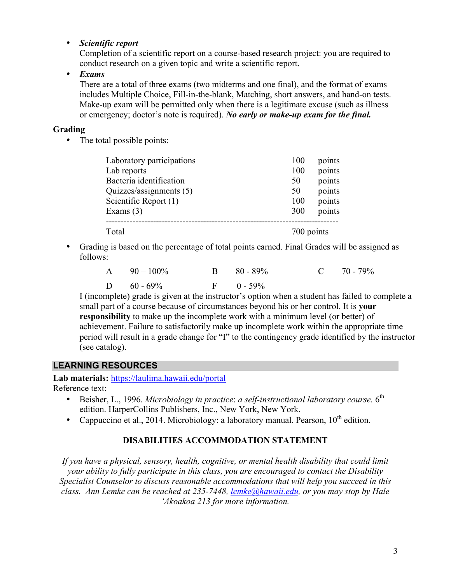#### • *Scientific report*

Completion of a scientific report on a course-based research project: you are required to conduct research on a given topic and write a scientific report.

• *Exams*

There are a total of three exams (two midterms and one final), and the format of exams includes Multiple Choice, Fill-in-the-blank, Matching, short answers, and hand-on tests. Make-up exam will be permitted only when there is a legitimate excuse (such as illness or emergency; doctor's note is required). *No early or make-up exam for the final.*

#### **Grading**

• The total possible points:

| Laboratory participations | 100 | points     |  |
|---------------------------|-----|------------|--|
| Lab reports               | 100 | points     |  |
| Bacteria identification   | 50  | points     |  |
| Quizzes/assignments (5)   | 50  | points     |  |
| Scientific Report (1)     | 100 | points     |  |
| Exams $(3)$               | 300 | points     |  |
| Total                     |     | 700 points |  |

• Grading is based on the percentage of total points earned. Final Grades will be assigned as follows:

| A $90-100\%$  | $B = 80 - 89\%$ | $C = 70 - 79\%$ |
|---------------|-----------------|-----------------|
| D $60 - 69\%$ | $F = 0 - 59\%$  |                 |

I (incomplete) grade is given at the instructor's option when a student has failed to complete a small part of a course because of circumstances beyond his or her control. It is **your responsibility** to make up the incomplete work with a minimum level (or better) of achievement. Failure to satisfactorily make up incomplete work within the appropriate time period will result in a grade change for "I" to the contingency grade identified by the instructor (see catalog).

## **LEARNING RESOURCES**

**Lab materials:** https://laulima.hawaii.edu/portal

Reference text:

- Beisher, L., 1996. *Microbiology in practice: a self-instructional laboratory course.* 6<sup>th</sup> edition. HarperCollins Publishers, Inc., New York, New York.
- Cappuccino et al., 2014. Microbiology: a laboratory manual. Pearson,  $10^{th}$  edition.

#### **DISABILITIES ACCOMMODATION STATEMENT**

*If you have a physical, sensory, health, cognitive, or mental health disability that could limit your ability to fully participate in this class, you are encouraged to contact the Disability Specialist Counselor to discuss reasonable accommodations that will help you succeed in this class. Ann Lemke can be reached at 235-7448, lemke@hawaii.edu, or you may stop by Hale 'Akoakoa 213 for more information.*